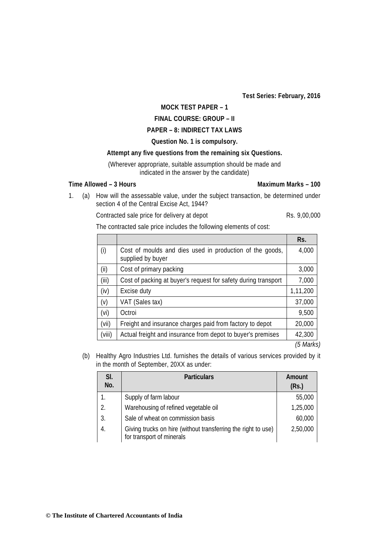**Test Series: February, 2016** 

## **MOCK TEST PAPER – 1**

# **FINAL COURSE: GROUP – II**

# **PAPER – 8: INDIRECT TAX LAWS**

#### **Question No. 1 is compulsory.**

### **Attempt any five questions from the remaining six Questions.**

(Wherever appropriate, suitable assumption should be made and indicated in the answer by the candidate)

# **Time Allowed – 3 Hours Maximum Marks – 100**

1. (a) How will the assessable value, under the subject transaction, be determined under section 4 of the Central Excise Act, 1944?

Contracted sale price for delivery at depot Rs. 9,00,000

The contracted sale price includes the following elements of cost:

|        |                                                                               | Rs.        |
|--------|-------------------------------------------------------------------------------|------------|
| (i)    | Cost of moulds and dies used in production of the goods,<br>supplied by buyer | 4,000      |
| (ii)   | Cost of primary packing                                                       | 3,000      |
| (iii)  | Cost of packing at buyer's request for safety during transport                | 7,000      |
| (iv)   | Excise duty                                                                   | 1,11,200   |
| (v)    | VAT (Sales tax)                                                               | 37,000     |
| (vi)   | Octroi                                                                        | 9,500      |
| (vii)  | Freight and insurance charges paid from factory to depot                      | 20,000     |
| (viii) | Actual freight and insurance from depot to buyer's premises                   | 42,300     |
|        |                                                                               | $(E$ Marko |

*(5 Marks)*

(b) Healthy Agro Industries Ltd. furnishes the details of various services provided by it in the month of September, 20XX as under:

| SI.<br>No.     | <b>Particulars</b>                                                                         | Amount<br>(Rs.) |
|----------------|--------------------------------------------------------------------------------------------|-----------------|
|                | Supply of farm labour                                                                      | 55,000          |
| $\mathfrak{D}$ | Warehousing of refined vegetable oil                                                       | 1,25,000        |
| 3.             | Sale of wheat on commission basis                                                          | 60,000          |
| 4.             | Giving trucks on hire (without transferring the right to use)<br>for transport of minerals | 2,50,000        |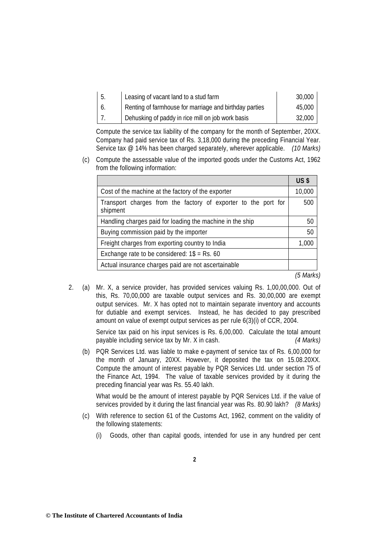| -5. | Leasing of vacant land to a stud farm                  | 30,000 |
|-----|--------------------------------------------------------|--------|
| 6.  | Renting of farmhouse for marriage and birthday parties | 45,000 |
|     | Dehusking of paddy in rice mill on job work basis      | 32,000 |

Compute the service tax liability of the company for the month of September, 20XX. Company had paid service tax of Rs. 3,18,000 during the preceding Financial Year. Service tax @ 14% has been charged separately, wherever applicable. *(10 Marks)*

(c) Compute the assessable value of the imported goods under the Customs Act, 1962 from the following information:

|                                                                            | <b>US \$</b> |
|----------------------------------------------------------------------------|--------------|
| Cost of the machine at the factory of the exporter                         | 10,000       |
| Transport charges from the factory of exporter to the port for<br>shipment | 500          |
| Handling charges paid for loading the machine in the ship                  |              |
| Buying commission paid by the importer                                     |              |
| Freight charges from exporting country to India                            |              |
| Exchange rate to be considered: $1\$ = Rs. 60                              |              |
| Actual insurance charges paid are not ascertainable                        |              |

*(5 Marks)*

2. (a) Mr. X, a service provider, has provided services valuing Rs. 1,00,00,000. Out of this, Rs. 70,00,000 are taxable output services and Rs. 30,00,000 are exempt output services. Mr. X has opted not to maintain separate inventory and accounts for dutiable and exempt services. Instead, he has decided to pay prescribed amount on value of exempt output services as per rule 6(3)(i) of CCR, 2004.

> Service tax paid on his input services is Rs. 6,00,000. Calculate the total amount payable including service tax by Mr. X in cash. *(4 Marks)*

(b) PQR Services Ltd. was liable to make e-payment of service tax of Rs. 6,00,000 for the month of January, 20XX. However, it deposited the tax on 15.08.20XX. Compute the amount of interest payable by PQR Services Ltd. under section 75 of the Finance Act, 1994. The value of taxable services provided by it during the preceding financial year was Rs. 55.40 lakh.

 What would be the amount of interest payable by PQR Services Ltd. if the value of services provided by it during the last financial year was Rs. 80.90 lakh? *(8 Marks)*

- (c) With reference to section 61 of the Customs Act, 1962, comment on the validity of the following statements:
	- (i) Goods, other than capital goods, intended for use in any hundred per cent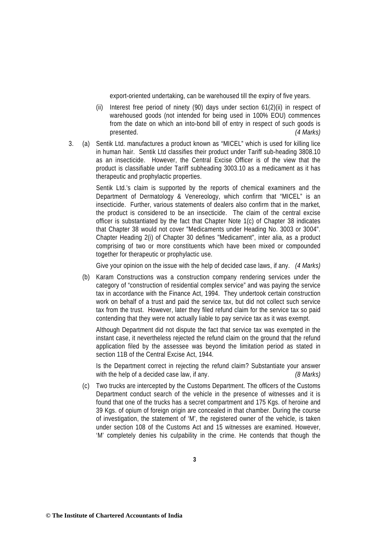export-oriented undertaking, can be warehoused till the expiry of five years.

- (ii) Interest free period of ninety (90) days under section 61(2)(ii) in respect of warehoused goods (not intended for being used in 100% EOU) commences from the date on which an into-bond bill of entry in respect of such goods is presented. *(4 Marks)*
- 3. (a) Sentik Ltd. manufactures a product known as "MICEL" which is used for killing lice in human hair. Sentik Ltd classifies their product under Tariff sub-heading 3808.10 as an insecticide. However, the Central Excise Officer is of the view that the product is classifiable under Tariff subheading 3003.10 as a medicament as it has therapeutic and prophylactic properties.

 Sentik Ltd.'s claim is supported by the reports of chemical examiners and the Department of Dermatology & Venereology, which confirm that "MICEL" is an insecticide. Further, various statements of dealers also confirm that in the market, the product is considered to be an insecticide. The claim of the central excise officer is substantiated by the fact that Chapter Note 1(c) of Chapter 38 indicates that Chapter 38 would not cover "Medicaments under Heading No. 3003 or 3004". Chapter Heading 2(i) of Chapter 30 defines "Medicament", inter alia, as a product comprising of two or more constituents which have been mixed or compounded together for therapeutic or prophylactic use.

Give your opinion on the issue with the help of decided case laws, if any. *(4 Marks)*

(b) Karam Constructions was a construction company rendering services under the category of "construction of residential complex service" and was paying the service tax in accordance with the Finance Act, 1994. They undertook certain construction work on behalf of a trust and paid the service tax, but did not collect such service tax from the trust. However, later they filed refund claim for the service tax so paid contending that they were not actually liable to pay service tax as it was exempt.

 Although Department did not dispute the fact that service tax was exempted in the instant case, it nevertheless rejected the refund claim on the ground that the refund application filed by the assessee was beyond the limitation period as stated in section 11B of the Central Excise Act, 1944.

 Is the Department correct in rejecting the refund claim? Substantiate your answer with the help of a decided case law, if any. *(8 Marks)* 

(c) Two trucks are intercepted by the Customs Department. The officers of the Customs Department conduct search of the vehicle in the presence of witnesses and it is found that one of the trucks has a secret compartment and 175 Kgs. of heroine and 39 Kgs. of opium of foreign origin are concealed in that chamber. During the course of investigation, the statement of 'M', the registered owner of the vehicle, is taken under section 108 of the Customs Act and 15 witnesses are examined. However, 'M' completely denies his culpability in the crime. He contends that though the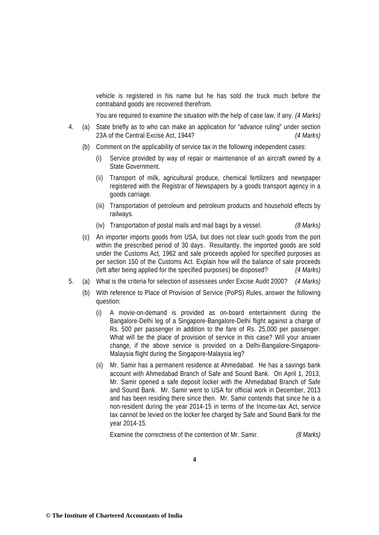vehicle is registered in his name but he has sold the truck much before the contraband goods are recovered therefrom.

You are required to examine the situation with the help of case law, if any. *(4 Marks)*

- 4. (a) State briefly as to who can make an application for "advance ruling" under section 23A of the Central Excise Act, 1944? *(4 Marks)*
	- (b) Comment on the applicability of service tax in the following independent cases:
		- (i) Service provided by way of repair or maintenance of an aircraft owned by a State Government.
		- (ii) Transport of milk, agricultural produce, chemical fertilizers and newspaper registered with the Registrar of Newspapers by a goods transport agency in a goods carriage.
		- (iii) Transportation of petroleum and petroleum products and household effects by railways.
		- (iv) Transportation of postal mails and mail bags by a vessel. *(8 Marks)*
	- (c) An importer imports goods from USA, but does not clear such goods from the port within the prescribed period of 30 days. Resultantly, the imported goods are sold under the Customs Act, 1962 and sale proceeds applied for specified purposes as per section 150 of the Customs Act. Explain how will the balance of sale proceeds (left after being applied for the specified purposes) be disposed? *(4 Marks)*
- 5. (a) What is the criteria for selection of assessees under Excise Audit 2000? *(4 Marks)*
	- (b) With reference to Place of Provision of Service (PoPS) Rules, answer the following question:
		- (i) A movie-on-demand is provided as on-board entertainment during the Bangalore-Delhi leg of a Singapore-Bangalore-Delhi flight against a charge of Rs. 500 per passenger in addition to the fare of Rs. 25,000 per passenger. What will be the place of provision of service in this case? Will your answer change, if the above service is provided on a Delhi-Bangalore-Singapore-Malaysia flight during the Singapore-Malaysia leg?
		- (ii) Mr. Samir has a permanent residence at Ahmedabad. He has a savings bank account with Ahmedabad Branch of Safe and Sound Bank. On April 1, 2013, Mr. Samir opened a safe deposit locker with the Ahmedabad Branch of Safe and Sound Bank. Mr. Samir went to USA for official work in December, 2013 and has been residing there since then. Mr. Samir contends that since he is a non-resident during the year 2014-15 in terms of the Income-tax Act, service tax cannot be levied on the locker fee charged by Safe and Sound Bank for the year 2014-15.

Examine the correctness of the contention of Mr. Samir. *(8 Marks)*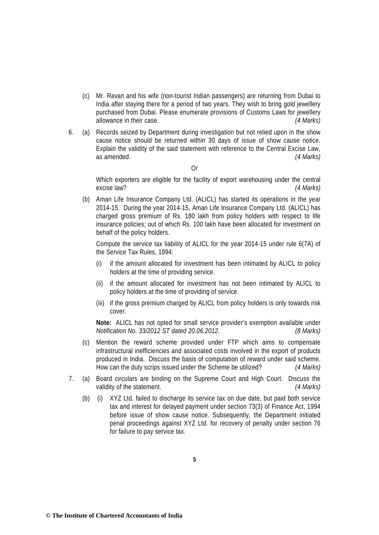- (c) Mr. Ravan and his wife (non-tourist Indian passengers) are returning from Dubai to India after staying there for a period of two years. They wish to bring gold jewellery purchased from Dubai. Please enumerate provisions of Customs Laws for jewellery allowance in their case. *(4 Marks)*
- 6. (a) Records seized by Department during investigation but not relied upon in the show cause notice should be returned within 30 days of issue of show cause notice. Explain the validity of the said statement with reference to the Central Excise Law, as amended. *(4 Marks)*

Or

 Which exporters are eligible for the facility of export warehousing under the central excise law? *(4 Marks)*

(b) Aman Life Insurance Company Ltd. (ALICL) has started its operations in the year 2014-15. During the year 2014-15, Aman Life Insurance Company Ltd. (ALICL) has charged gross premium of Rs. 180 lakh from policy holders with respect to life insurance policies; out of which Rs. 100 lakh have been allocated for investment on behalf of the policy holders.

Compute the service tax liability of ALICL for the year 2014-15 under rule 6(7A) of the Service Tax Rules, 1994:

- (i) if the amount allocated for investment has been intimated by ALICL to policy holders at the time of providing service.
- (ii) if the amount allocated for investment has not been intimated by ALICL to policy holders at the time of providing of service.
- (iii) if the gross premium charged by ALICL from policy holders is only towards risk cover.

**Note:** ALICL has not opted for small service provider's exemption available under *Notification No. 33/2012 ST dated 20.06.2012. (8 Marks)*

- (c) Mention the reward scheme provided under FTP which aims to compensate infrastructural inefficiencies and associated costs involved in the export of products produced in India. Discuss the basis of computation of reward under said scheme. How can the duty scrips issued under the Scheme be utilized? *(4 Marks)*
- 7. (a) Board circulars are binding on the Supreme Court and High Court. Discuss the validity of the statement. *(4 Marks)*
	- (b) (i) XYZ Ltd. failed to discharge its service tax on due date, but paid both service tax and interest for delayed payment under section 73(3) of Finance Act, 1994 before issue of show cause notice. Subsequently, the Department initiated penal proceedings against XYZ Ltd. for recovery of penalty under section 76 for failure to pay service tax.